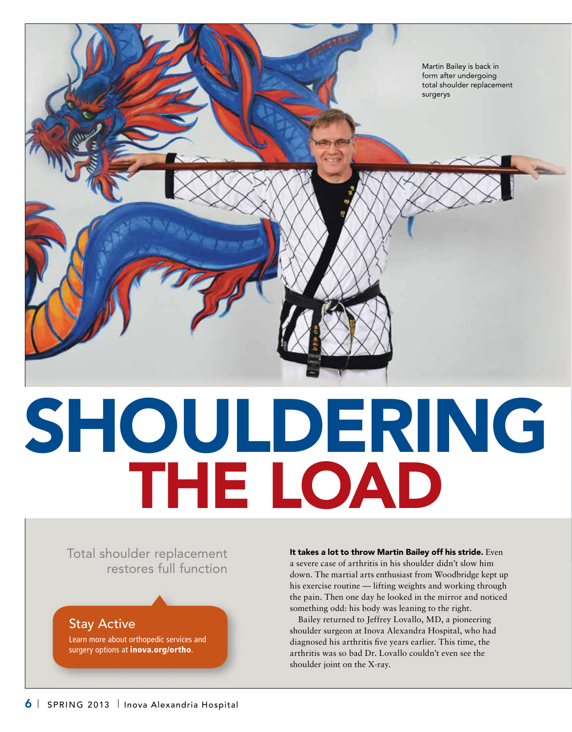

## SH THE LO

Total shoulder replacement restores full function

Stay Active

Learn more about orthopedic services and surgery options at *inova.org/ortho.* 

It takes a lot to throw Martin Bailey off his stride. Even a severe case of arthritis in his shoulder didn't slow him down. The martial arts enthusiast from Woodbridge kept up his exercise routine — lifting weights and working through the pain. Then one day he looked in the mirror and noticed something odd: his body was leaning to the right.

Bailey returned to Jeffrey Lovallo, MD, a pioneering shoulder surgeon at Inova Alexandra Hospital, who had diagnosed his arthritis five years earlier. This time, the arthritis was so bad Dr. Lovallo couldn't even see the shoulder joint on the X-ray.